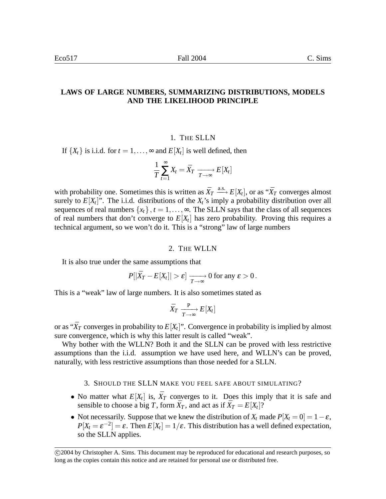# **LAWS OF LARGE NUMBERS, SUMMARIZING DISTRIBUTIONS, MODELS AND THE LIKELIHOOD PRINCIPLE**

#### 1. THE SLLN

If  $\{X_t\}$  is i.i.d. for  $t = 1, \ldots, \infty$  and  $E[X_t]$  is well defined, then

$$
\frac{1}{T}\sum_{t=1}^{\infty}X_t=\bar{X}_T\xrightarrow[T\to\infty]{}E[X_t]
$$

with probability one. Sometimes this is written as  $\bar{X}_T \xrightarrow{a.s.} E[X_t]$ , or as " $\bar{X}_T$  converges almost surely to  $E[X_t]$ ". The i.i.d. distributions of the  $X_t$ 's imply a probability distribution over all sequences of real numbers  $\{x_t\}$ ,  $t = 1, \ldots, \infty$ . The SLLN says that the class of all sequences of real numbers that don't converge to  $E[X_t]$  has zero probability. Proving this requires a technical argument, so we won't do it. This is a "strong" law of large numbers

#### 2. THE WLLN

It is also true under the same assumptions that

$$
P[|\bar{X}_T - E[X_t]| > \varepsilon] \xrightarrow[T \to \infty]{} 0 \text{ for any } \varepsilon > 0.
$$

This is a "weak" law of large numbers. It is also sometimes stated as

$$
\bar{X}_T \xrightarrow[T \to \infty]{\mathbf{P}} E[X_t]
$$

or as " $\bar{X}_T$  converges in probability to  $E[X_t]$ ". Convergence in probability is implied by almost sure convergence, which is why this latter result is called "weak".

Why bother with the WLLN? Both it and the SLLN can be proved with less restrictive assumptions than the i.i.d. assumption we have used here, and WLLN's can be proved, naturally, with less restrictive assumptions than those needed for a SLLN.

- 3. SHOULD THE SLLN MAKE YOU FEEL SAFE ABOUT SIMULATING?
- No matter what  $E[X_t]$  is,  $\bar{X}_T$  converges to it. Does this imply that it is safe and sensible to choose a big *T*, form  $\bar{X}_T$ , and act as if  $\bar{X}_T = E[X_t]$ ?
- Not necessarily. Suppose that we knew the distribution of  $X_t$  made  $P[X_t = 0] = 1 \varepsilon$ ,  $P[X_t = \varepsilon^{-2}] = \varepsilon$ . Then  $E[X_t] = 1/\varepsilon$ . This distribution has a well defined expectation, so the SLLN applies.

c 2004 by Christopher A. Sims. This document may be reproduced for educational and research purposes, so long as the copies contain this notice and are retained for personal use or distributed free.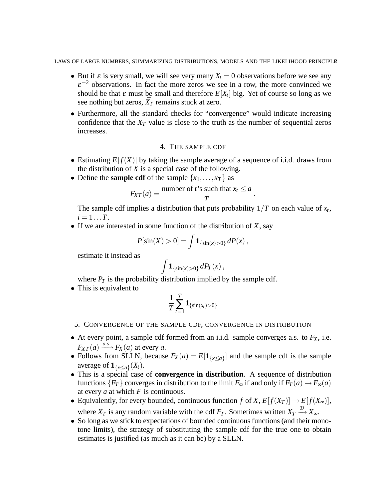LAWS OF LARGE NUMBERS, SUMMARIZING DISTRIBUTIONS, MODELS AND THE LIKELIHOOD PRINCIPLE2

- But if  $\varepsilon$  is very small, we will see very many  $X_t = 0$  observations before we see any  $\varepsilon^{-2}$  observations. In fact the more zeros we see in a row, the more convinced we should be that  $\varepsilon$  must be small and therefore  $E[X_t]$  big. Yet of course so long as we see nothing but zeros,  $\bar{X}_T$  remains stuck at zero.
- Furthermore, all the standard checks for "convergence" would indicate increasing confidence that the  $X_T$  value is close to the truth as the number of sequential zeros increases.

## 4. THE SAMPLE CDF

- Estimating  $E[f(X)]$  by taking the sample average of a sequence of i.i.d. draws from the distribution of *X* is a special case of the following.
- Define the **sample cdf** of the sample  $\{x_1, \ldots, x_T\}$  as

$$
F_{XT}(a) = \frac{\text{number of } t \text{'s such that } x_t \leq a}{T}.
$$

The sample cdf implies a distribution that puts probability  $1/T$  on each value of  $x_t$ ,  $i = 1...T$ .

• If we are interested in some function of the distribution of *X*, say

$$
P[\sin(X) > 0] = \int \mathbf{1}_{\{\sin(x) > 0\}} dP(x),
$$

estimate it instead as

$$
\int {\bf 1}_{\{\sin(x)>0\}}\,dP_T(x)\,,
$$

where  $P_T$  is the probability distribution implied by the sample cdf.

• This is equivalent to

$$
\frac{1}{T}\sum_{t=1}^T \mathbf{1}_{\{\sin(x_t) > 0\}}
$$

- 5. CONVERGENCE OF THE SAMPLE CDF, CONVERGENCE IN DISTRIBUTION
- At every point, a sample cdf formed from an i.i.d. sample converges a.s. to  $F_X$ , i.e.  $F_{XT}(a) \xrightarrow{a.s.} F_X(a)$  at every *a*.
- Follows from SLLN, because  $F_X(a) = E[\mathbf{1}_{\{x \le a\}}]$  and the sample cdf is the sample average of  $\mathbf{1}_{\{x \leq a\}}(X_t)$ .
- This is a special case of **convergence in distribution**. A sequence of distribution functions  ${F_T}$  converges in distribution to the limit  $F_{\infty}$  if and only if  $F_T(a) \to F_{\infty}(a)$ at every *a* at which *F* is continuous.
- Equivalently, for every bounded, continuous function *f* of *X*,  $E[f(X_T)] \rightarrow E[f(X_\infty)]$ , where  $X_T$  is any random variable with the cdf  $F_T$ . Sometimes written  $X_T \stackrel{\mathcal{D}}{\longrightarrow} X_{\infty}$ .
- So long as we stick to expectations of bounded continuous functions (and their monotone limits), the strategy of substituting the sample cdf for the true one to obtain estimates is justified (as much as it can be) by a SLLN.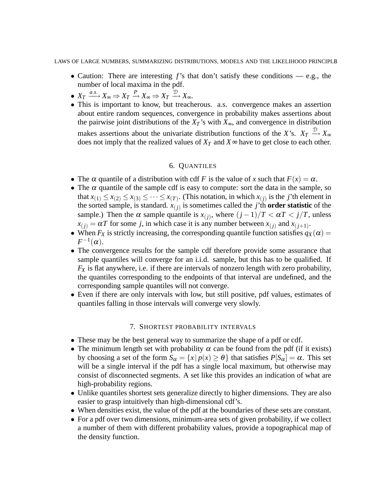LAWS OF LARGE NUMBERS, SUMMARIZING DISTRIBUTIONS, MODELS AND THE LIKELIHOOD PRINCIPLE3

- Caution: There are interesting *f*'s that don't satisfy these conditions e.g., the number of local maxima in the pdf.
- $X_T \xrightarrow{a.s.} X_{\infty} \Rightarrow X_T \xrightarrow{P} X_{\infty} \Rightarrow X_T \xrightarrow{\mathcal{D}} X_{\infty}.$
- This is important to know, but treacherous. a.s. convergence makes an assertion about entire random sequences, convergence in probability makes assertions about the pairwise joint distributions of the  $X_T$ 's with  $X_\infty$ , and convergence in distribution makes assertions about the univariate distribution functions of the *X*'s.  $X_T \stackrel{\mathcal{D}}{\longrightarrow} X_{\infty}$ does not imply that the realized values of  $X_T$  and  $X \sim$  have to get close to each other.

## 6. QUANTILES

- The  $\alpha$  quantile of a distribution with cdf *F* is the value of *x* such that  $F(x) = \alpha$ .
- The  $\alpha$  quantile of the sample cdf is easy to compute: sort the data in the sample, so that  $x_{(1)} \le x_{(2)} \le x_{(3)} \le \cdots \le x_{(T)}$ . (This notation, in which  $x_{(j)}$  is the *j*'th element in the sorted sample, is standard.  $x_{(j)}$  is sometimes called the *j*'th **order statistic** of the sample.) Then the  $\alpha$  sample quantile is  $x_{(j)}$ , where  $(j-1)/T < \alpha T < j/T$ , unless  $x_{(j)} = \alpha T$  for some *j*, in which case it is any number between  $x_{(j)}$  and  $x_{(j+1)}$ .
- When  $F_X$  is strictly increasing, the corresponding quantile function satisfies  $q_X(\alpha)$  =  $F^{-1}(\alpha).$
- The convergence results for the sample cdf therefore provide some assurance that sample quantiles will converge for an i.i.d. sample, but this has to be qualified. If  $F_X$  is flat anywhere, i.e. if there are intervals of nonzero length with zero probability, the quantiles corresponding to the endpoints of that interval are undefined, and the corresponding sample quantiles will not converge.
- Even if there are only intervals with low, but still positive, pdf values, estimates of quantiles falling in those intervals will converge very slowly.

## 7. SHORTEST PROBABILITY INTERVALS

- These may be the best general way to summarize the shape of a pdf or cdf.
- The minimum length set with probability  $\alpha$  can be found from the pdf (if it exists) by choosing a set of the form  $S_\alpha = \{x \mid p(x) \ge \theta\}$  that satisfies  $P[S_\alpha] = \alpha$ . This set will be a single interval if the pdf has a single local maximum, but otherwise may consist of disconnected segments. A set like this provides an indication of what are high-probability regions.
- Unlike quantiles shortest sets generalize directly to higher dimensions. They are also easier to grasp intuitively than high-dimensional cdf's.
- When densities exist, the value of the pdf at the boundaries of these sets are constant.
- For a pdf over two dimensions, minimum-area sets of given probability, if we collect a number of them with different probability values, provide a topographical map of the density function.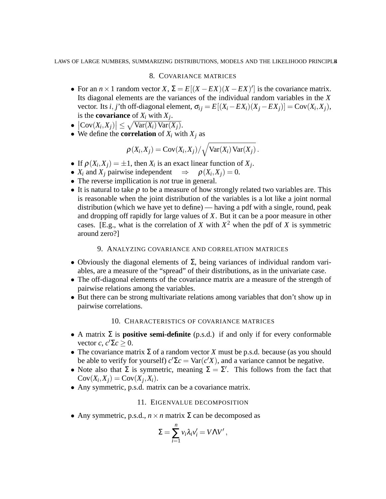### 8. COVARIANCE MATRICES

- For an  $n \times 1$  random vector *X*,  $\Sigma = E[(X EX)(X EX)']$  is the covariance matrix. Its diagonal elements are the variances of the individual random variables in the *X* vector. Its *i*, *j*'th off-diagonal element,  $\sigma_{ij} = E[(X_i - EX_i)(X_j - EX_j)] = \text{Cov}(X_i, X_j)$ , is the **covariance** of  $X_i$  with  $X_j$ .
- $\left|\text{Cov}(X_i, X_j)\right| \leq \sqrt{\text{Var}(X_i) \text{Var}(X_j)}.$
- We define the **correlation** of  $X_i$  with  $X_j$  as

$$
\rho(X_i, X_j) = \text{Cov}(X_i, X_j) / \sqrt{\text{Var}(X_i) \text{Var}(X_j)}.
$$

- If  $\rho(X_i, X_j) = \pm 1$ , then  $X_i$  is an exact linear function of  $X_j$ .
- $X_i$  and  $X_j$  pairwise independent  $\Rightarrow \rho(X_i, X_j) = 0$ .
- The reverse impllication is *not* true in general.
- It is natural to take  $\rho$  to be a measure of how strongly related two variables are. This is reasonable when the joint distribution of the variables is a lot like a joint normal distribution (which we have yet to define) — having a pdf with a single, round, peak and dropping off rapidly for large values of *X*. But it can be a poor measure in other cases. [E.g., what is the correlation of *X* with  $X^2$  when the pdf of *X* is symmetric around zero?]

# 9. ANALYZING COVARIANCE AND CORRELATION MATRICES

- Obviously the diagonal elements of  $\Sigma$ , being variances of individual random variables, are a measure of the "spread" of their distributions, as in the univariate case.
- The off-diagonal elements of the covariance matrix are a measure of the strength of pairwise relations among the variables.
- But there can be strong multivariate relations among variables that don't show up in pairwise correlations.

### 10. CHARACTERISTICS OF COVARIANCE MATRICES

- A matrix  $\Sigma$  is **positive semi-definite** (p.s.d.) if and only if for every conformable vector *c*,  $c' \Sigma c \geq 0$ .
- The covariance matrix  $\Sigma$  of a random vector *X* must be p.s.d. because (as you should be able to verify for yourself)  $c'\Sigma c = \text{Var}(c'X)$ , and a variance cannot be negative.
- Note also that  $\Sigma$  is symmetric, meaning  $\Sigma = \Sigma'$ . This follows from the fact that  $Cov(X_i, X_j) = Cov(X_j, X_i).$
- Any symmetric, p.s.d. matrix can be a covariance matrix.

### 11. EIGENVALUE DECOMPOSITION

• Any symmetric, p.s.d.,  $n \times n$  matrix  $\Sigma$  can be decomposed as

$$
\Sigma = \sum_{i=1}^n v_i \lambda_i v'_i = V \Lambda V',
$$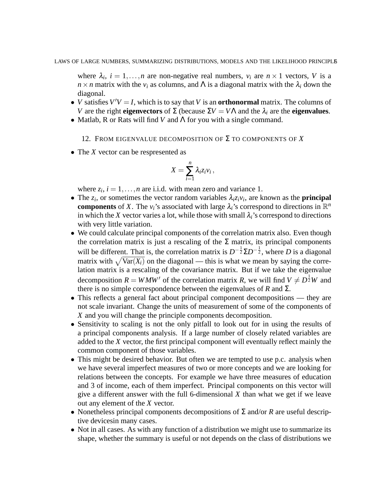where  $\lambda_i$ ,  $i = 1, \ldots, n$  are non-negative real numbers,  $v_i$  are  $n \times 1$  vectors, V is a  $n \times n$  matrix with the  $v_i$  as columns, and  $\Lambda$  is a diagonal matrix with the  $\lambda_i$  down the diagonal.

- *V* satisfies  $V'V = I$ , which is to say that *V* is an **orthonormal** matrix. The columns of *V* are the right **eigenvectors** of  $\Sigma$  (because  $\Sigma V = V \Lambda$  and the  $\lambda_i$  are the **eigenvalues**.
- Matlab, R or Rats will find *V* and  $Λ$  for you with a single command.
	- 12. FROM EIGENVALUE DECOMPOSITION OF Σ TO COMPONENTS OF *X*
- The *X* vector can be respresented as

$$
X=\sum_{i=1}^n\lambda_i z_i v_i\,,
$$

where  $z_i$ ,  $i = 1, \ldots, n$  are i.i.d. with mean zero and variance 1.

- The  $z_i$ , or sometimes the vector random variables  $\lambda_i z_i v_i$ , are known as the **principal components** of *X*. The  $v_i$ 's associated with large  $\lambda_i$ 's correspond to directions in  $\mathbb{R}^n$ in which the *X* vector varies a lot, while those with small  $\lambda_i$ 's correspond to directions with very little variation.
- We could calculate principal components of the correlation matrix also. Even though the correlation matrix is just a rescaling of the  $\Sigma$  matrix, its principal components will be different. That is, the correlation matrix is  $D^{-\frac{1}{2}}\Sigma D^{-\frac{1}{2}}$ , where *D* is a diagonal matrix with  $\sqrt{\text{Var}(X_i)}$  on the diagonal — this is what we mean by saying the correlation matrix is a rescaling of the covariance matrix. But if we take the eigenvalue decomposition  $R = W M W'$  of the correlation matrix *R*, we will find  $V \neq D^{\frac{1}{2}} W$  and there is no simple correspondence between the eigenvalues of  $R$  and  $\Sigma$ .
- This reflects a general fact about principal component decompositions they are not scale invariant. Change the units of measurement of some of the components of *X* and you will change the principle components decomposition.
- Sensitivity to scaling is not the only pitfall to look out for in using the results of a principal components analysis. If a large number of closely related variables are added to the *X* vector, the first principal component will eventually reflect mainly the common component of those variables.
- This might be desired behavior. But often we are tempted to use p.c. analysis when we have several imperfect measures of two or more concepts and we are looking for relations between the concepts. For example we have three measures of education and 3 of income, each of them imperfect. Principal components on this vector will give a different answer with the full 6-dimensional *X* than what we get if we leave out any element of the *X* vector.
- Nonetheless principal components decompositions of Σ and/or *R* are useful descriptive devicesin many cases.
- Not in all cases. As with any function of a distribution we might use to summarize its shape, whether the summary is useful or not depends on the class of distributions we